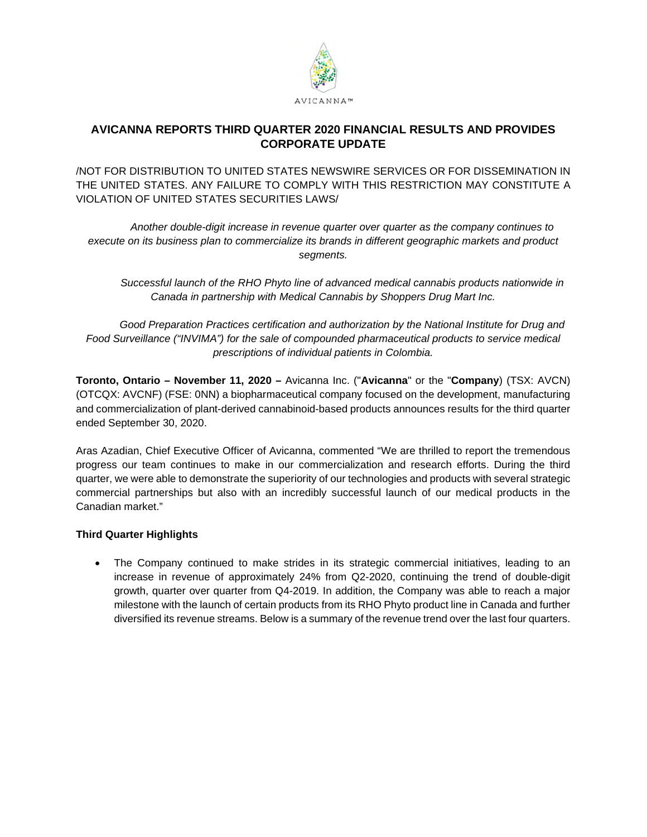

# **AVICANNA REPORTS THIRD QUARTER 2020 FINANCIAL RESULTS AND PROVIDES CORPORATE UPDATE**

/NOT FOR DISTRIBUTION TO UNITED STATES NEWSWIRE SERVICES OR FOR DISSEMINATION IN THE UNITED STATES. ANY FAILURE TO COMPLY WITH THIS RESTRICTION MAY CONSTITUTE A VIOLATION OF UNITED STATES SECURITIES LAWS/

*Another double-digit increase in revenue quarter over quarter as the company continues to execute on its business plan to commercialize its brands in different geographic markets and product segments.* 

*Successful launch of the RHO Phyto line of advanced medical cannabis products nationwide in Canada in partnership with Medical Cannabis by Shoppers Drug Mart Inc.* 

*Good Preparation Practices certification and authorization by the National Institute for Drug and Food Surveillance ("INVIMA") for the sale of compounded pharmaceutical products to service medical prescriptions of individual patients in Colombia.* 

**Toronto, Ontario – November 11, 2020 –** Avicanna Inc. ("**Avicanna**" or the "**Company**) (TSX: AVCN) (OTCQX: AVCNF) (FSE: 0NN) a biopharmaceutical company focused on the development, manufacturing and commercialization of plant-derived cannabinoid-based products announces results for the third quarter ended September 30, 2020.

Aras Azadian, Chief Executive Officer of Avicanna, commented "We are thrilled to report the tremendous progress our team continues to make in our commercialization and research efforts. During the third quarter, we were able to demonstrate the superiority of our technologies and products with several strategic commercial partnerships but also with an incredibly successful launch of our medical products in the Canadian market."

## **Third Quarter Highlights**

 The Company continued to make strides in its strategic commercial initiatives, leading to an increase in revenue of approximately 24% from Q2-2020, continuing the trend of double-digit growth, quarter over quarter from Q4-2019. In addition, the Company was able to reach a major milestone with the launch of certain products from its RHO Phyto product line in Canada and further diversified its revenue streams. Below is a summary of the revenue trend over the last four quarters.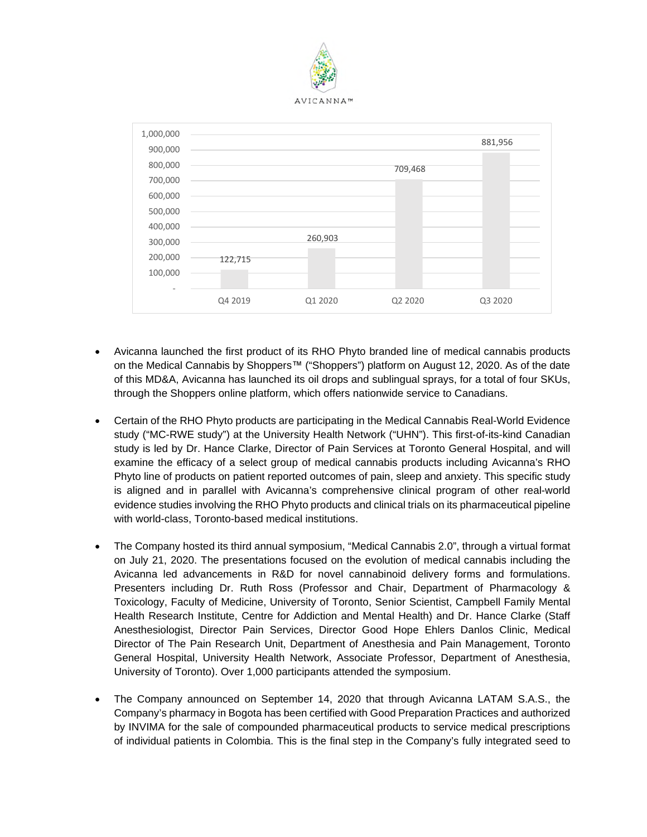



- Avicanna launched the first product of its RHO Phyto branded line of medical cannabis products on the Medical Cannabis by Shoppers™ ("Shoppers") platform on August 12, 2020. As of the date of this MD&A, Avicanna has launched its oil drops and sublingual sprays, for a total of four SKUs, through the Shoppers online platform, which offers nationwide service to Canadians.
- Certain of the RHO Phyto products are participating in the Medical Cannabis Real-World Evidence study ("MC-RWE study") at the University Health Network ("UHN"). This first-of-its-kind Canadian study is led by Dr. Hance Clarke, Director of Pain Services at Toronto General Hospital, and will examine the efficacy of a select group of medical cannabis products including Avicanna's RHO Phyto line of products on patient reported outcomes of pain, sleep and anxiety. This specific study is aligned and in parallel with Avicanna's comprehensive clinical program of other real-world evidence studies involving the RHO Phyto products and clinical trials on its pharmaceutical pipeline with world-class, Toronto-based medical institutions.
- The Company hosted its third annual symposium, "Medical Cannabis 2.0", through a virtual format on July 21, 2020. The presentations focused on the evolution of medical cannabis including the Avicanna led advancements in R&D for novel cannabinoid delivery forms and formulations. Presenters including Dr. Ruth Ross (Professor and Chair, Department of Pharmacology & Toxicology, Faculty of Medicine, University of Toronto, Senior Scientist, Campbell Family Mental Health Research Institute, Centre for Addiction and Mental Health) and Dr. Hance Clarke (Staff Anesthesiologist, Director Pain Services, Director Good Hope Ehlers Danlos Clinic, Medical Director of The Pain Research Unit, Department of Anesthesia and Pain Management, Toronto General Hospital, University Health Network, Associate Professor, Department of Anesthesia, University of Toronto). Over 1,000 participants attended the symposium.
- The Company announced on September 14, 2020 that through Avicanna LATAM S.A.S., the Company's pharmacy in Bogota has been certified with Good Preparation Practices and authorized by INVIMA for the sale of compounded pharmaceutical products to service medical prescriptions of individual patients in Colombia. This is the final step in the Company's fully integrated seed to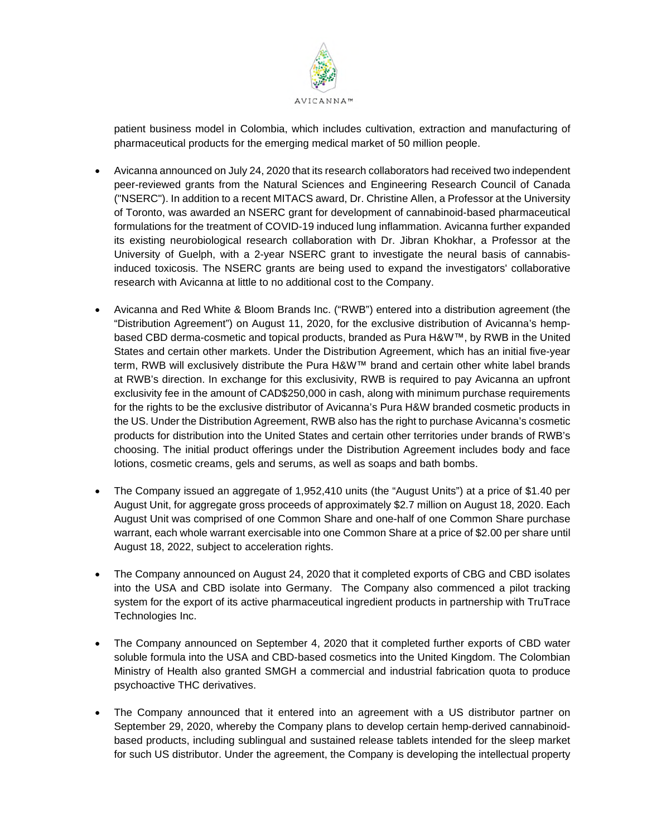

patient business model in Colombia, which includes cultivation, extraction and manufacturing of pharmaceutical products for the emerging medical market of 50 million people.

- Avicanna announced on July 24, 2020 that its research collaborators had received two independent peer-reviewed grants from the Natural Sciences and Engineering Research Council of Canada ("NSERC"). In addition to a recent MITACS award, Dr. Christine Allen, a Professor at the University of Toronto, was awarded an NSERC grant for development of cannabinoid-based pharmaceutical formulations for the treatment of COVID-19 induced lung inflammation. Avicanna further expanded its existing neurobiological research collaboration with Dr. Jibran Khokhar, a Professor at the University of Guelph, with a 2-year NSERC grant to investigate the neural basis of cannabisinduced toxicosis. The NSERC grants are being used to expand the investigators' collaborative research with Avicanna at little to no additional cost to the Company.
- Avicanna and Red White & Bloom Brands Inc. ("RWB") entered into a distribution agreement (the "Distribution Agreement") on August 11, 2020, for the exclusive distribution of Avicanna's hempbased CBD derma-cosmetic and topical products, branded as Pura H&W™, by RWB in the United States and certain other markets. Under the Distribution Agreement, which has an initial five-year term, RWB will exclusively distribute the Pura H&W™ brand and certain other white label brands at RWB's direction. In exchange for this exclusivity, RWB is required to pay Avicanna an upfront exclusivity fee in the amount of CAD\$250,000 in cash, along with minimum purchase requirements for the rights to be the exclusive distributor of Avicanna's Pura H&W branded cosmetic products in the US. Under the Distribution Agreement, RWB also has the right to purchase Avicanna's cosmetic products for distribution into the United States and certain other territories under brands of RWB's choosing. The initial product offerings under the Distribution Agreement includes body and face lotions, cosmetic creams, gels and serums, as well as soaps and bath bombs.
- The Company issued an aggregate of 1,952,410 units (the "August Units") at a price of \$1.40 per August Unit, for aggregate gross proceeds of approximately \$2.7 million on August 18, 2020. Each August Unit was comprised of one Common Share and one-half of one Common Share purchase warrant, each whole warrant exercisable into one Common Share at a price of \$2.00 per share until August 18, 2022, subject to acceleration rights.
- The Company announced on August 24, 2020 that it completed exports of CBG and CBD isolates into the USA and CBD isolate into Germany. The Company also commenced a pilot tracking system for the export of its active pharmaceutical ingredient products in partnership with TruTrace Technologies Inc.
- The Company announced on September 4, 2020 that it completed further exports of CBD water soluble formula into the USA and CBD-based cosmetics into the United Kingdom. The Colombian Ministry of Health also granted SMGH a commercial and industrial fabrication quota to produce psychoactive THC derivatives.
- The Company announced that it entered into an agreement with a US distributor partner on September 29, 2020, whereby the Company plans to develop certain hemp-derived cannabinoidbased products, including sublingual and sustained release tablets intended for the sleep market for such US distributor. Under the agreement, the Company is developing the intellectual property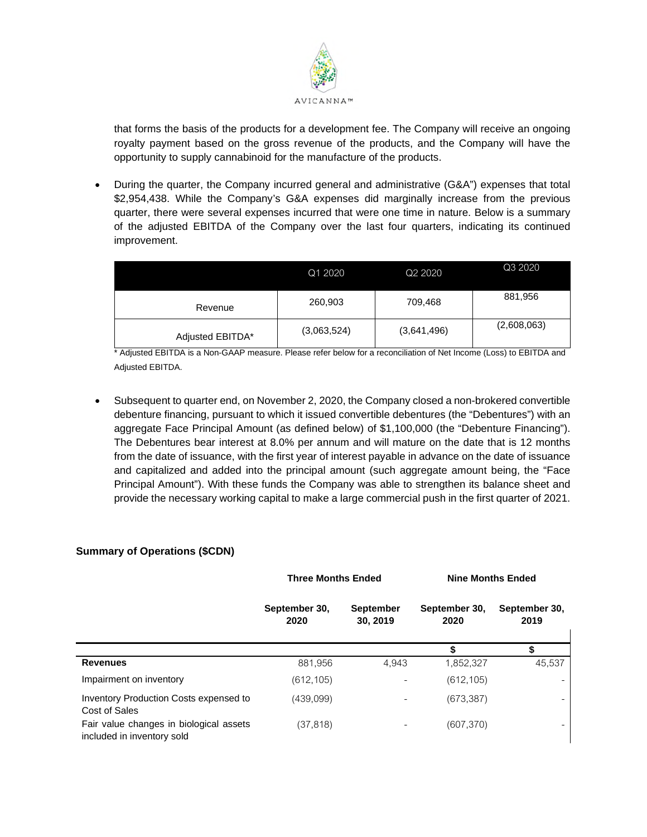

that forms the basis of the products for a development fee. The Company will receive an ongoing royalty payment based on the gross revenue of the products, and the Company will have the opportunity to supply cannabinoid for the manufacture of the products.

 During the quarter, the Company incurred general and administrative (G&A") expenses that total \$2,954,438. While the Company's G&A expenses did marginally increase from the previous quarter, there were several expenses incurred that were one time in nature. Below is a summary of the adjusted EBITDA of the Company over the last four quarters, indicating its continued improvement.

|                  | Q1 2020     | Q <sub>2</sub> 20 <sub>20</sub> | Q3 2020     |
|------------------|-------------|---------------------------------|-------------|
| Revenue          | 260,903     | 709,468                         | 881,956     |
| Adjusted EBITDA* | (3,063,524) | (3,641,496)                     | (2,608,063) |

\* Adjusted EBITDA is a Non-GAAP measure. Please refer below for a reconciliation of Net Income (Loss) to EBITDA and Adjusted EBITDA.

 Subsequent to quarter end, on November 2, 2020, the Company closed a non-brokered convertible debenture financing, pursuant to which it issued convertible debentures (the "Debentures") with an aggregate Face Principal Amount (as defined below) of \$1,100,000 (the "Debenture Financing"). The Debentures bear interest at 8.0% per annum and will mature on the date that is 12 months from the date of issuance, with the first year of interest payable in advance on the date of issuance and capitalized and added into the principal amount (such aggregate amount being, the "Face Principal Amount"). With these funds the Company was able to strengthen its balance sheet and provide the necessary working capital to make a large commercial push in the first quarter of 2021.

## **Summary of Operations (\$CDN)**

|                                                                       | <b>Three Months Ended</b> |                              | <b>Nine Months Ended</b> |                       |
|-----------------------------------------------------------------------|---------------------------|------------------------------|--------------------------|-----------------------|
|                                                                       | September 30,<br>2020     | <b>September</b><br>30, 2019 | September 30,<br>2020    | September 30,<br>2019 |
|                                                                       |                           |                              |                          |                       |
| <b>Revenues</b>                                                       | 881,956                   | 4,943                        | 1,852,327                | 45,537                |
| Impairment on inventory                                               | (612, 105)                |                              | (612, 105)               |                       |
| Inventory Production Costs expensed to<br>Cost of Sales               | (439,099)                 |                              | (673, 387)               |                       |
| Fair value changes in biological assets<br>included in inventory sold | (37, 818)                 |                              | (607, 370)               |                       |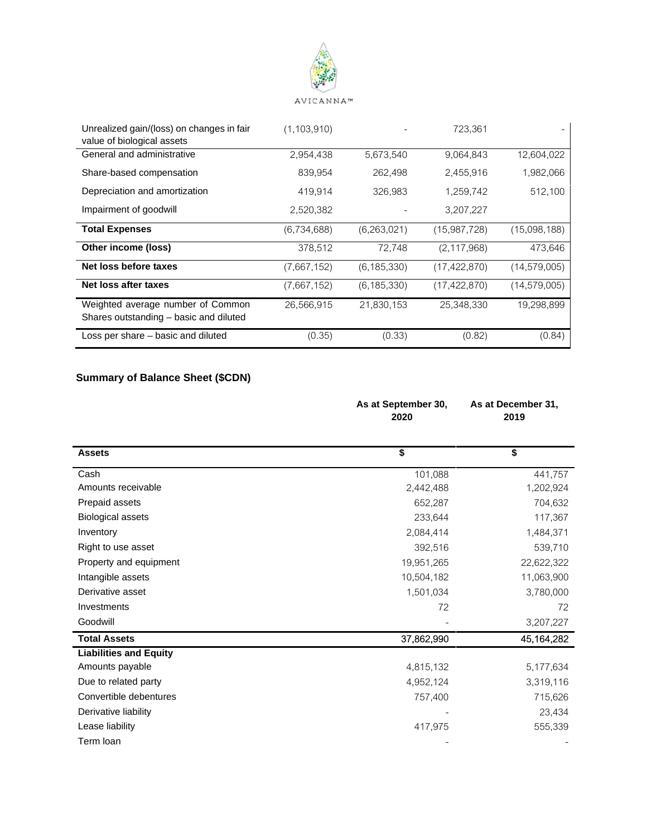

| Unrealized gain/(loss) on changes in fair                                   | (1, 103, 910) |               | 723.361        |                |
|-----------------------------------------------------------------------------|---------------|---------------|----------------|----------------|
| value of biological assets                                                  |               |               |                |                |
| General and administrative                                                  | 2,954,438     | 5,673,540     | 9,064,843      | 12,604,022     |
| Share-based compensation                                                    | 839,954       | 262,498       | 2,455,916      | 1,982,066      |
| Depreciation and amortization                                               | 419,914       | 326,983       | 1,259,742      | 512,100        |
| Impairment of goodwill                                                      | 2,520,382     |               | 3,207,227      |                |
| <b>Total Expenses</b>                                                       | (6,734,688)   | (6,263,021)   | (15, 987, 728) | (15,098,188)   |
| Other income (loss)                                                         | 378,512       | 72.748        | (2, 117, 968)  | 473,646        |
| Net loss before taxes                                                       | (7,667,152)   | (6, 185, 330) | (17, 422, 870) | (14, 579, 005) |
| Net loss after taxes                                                        | (7,667,152)   | (6, 185, 330) | (17, 422, 870) | (14, 579, 005) |
| Weighted average number of Common<br>Shares outstanding - basic and diluted | 26,566,915    | 21,830,153    | 25,348,330     | 19,298,899     |
| Loss per share – basic and diluted                                          | (0.35)        | (0.33)        | (0.82)         | (0.84)         |

# **Summary of Balance Sheet (\$CDN)**

|                               | As at September 30,<br>2020 | As at December 31,<br>2019           |
|-------------------------------|-----------------------------|--------------------------------------|
| <b>Assets</b>                 | \$                          | $\overline{\boldsymbol{\mathsf{s}}}$ |
| Cash                          | 101,088                     | 441,757                              |
| Amounts receivable            | 2,442,488                   | 1,202,924                            |
| Prepaid assets                | 652,287                     | 704,632                              |
| <b>Biological assets</b>      | 233,644                     | 117,367                              |
| Inventory                     | 2,084,414                   | 1,484,371                            |
| Right to use asset            | 392,516                     | 539,710                              |
| Property and equipment        | 19,951,265                  | 22,622,322                           |
| Intangible assets             | 10,504,182                  | 11,063,900                           |
| Derivative asset              | 1,501,034                   | 3,780,000                            |
| Investments                   | 72                          | 72                                   |
| Goodwill                      |                             | 3,207,227                            |
| <b>Total Assets</b>           | 37,862,990                  | 45,164,282                           |
| <b>Liabilities and Equity</b> |                             |                                      |
| Amounts payable               | 4,815,132                   | 5,177,634                            |
| Due to related party          | 4,952,124                   | 3,319,116                            |
| Convertible debentures        | 757,400                     | 715,626                              |
| Derivative liability          |                             | 23,434                               |
| Lease liability               | 417,975                     | 555,339                              |
| Term loan                     |                             |                                      |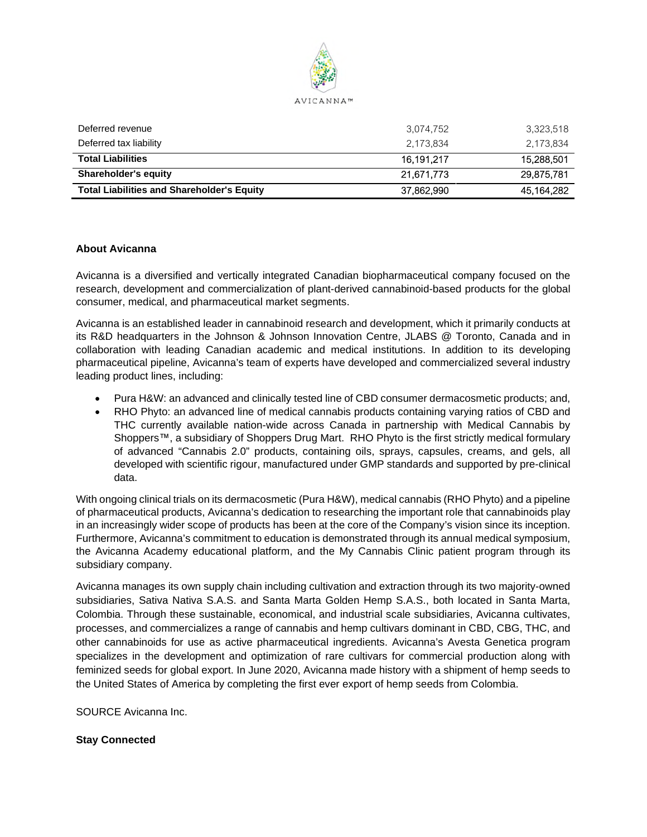

| Deferred revenue                                  | 3.074.752  | 3,323,518  |
|---------------------------------------------------|------------|------------|
| Deferred tax liability                            | 2.173.834  | 2.173.834  |
| <b>Total Liabilities</b>                          | 16.191.217 | 15.288.501 |
| <b>Shareholder's equity</b>                       | 21.671.773 | 29.875.781 |
| <b>Total Liabilities and Shareholder's Equity</b> | 37,862,990 | 45,164,282 |

### **About Avicanna**

Avicanna is a diversified and vertically integrated Canadian biopharmaceutical company focused on the research, development and commercialization of plant-derived cannabinoid-based products for the global consumer, medical, and pharmaceutical market segments.

Avicanna is an established leader in cannabinoid research and development, which it primarily conducts at its R&D headquarters in the Johnson & Johnson Innovation Centre, JLABS @ Toronto, Canada and in collaboration with leading Canadian academic and medical institutions. In addition to its developing pharmaceutical pipeline, Avicanna's team of experts have developed and commercialized several industry leading product lines, including:

- Pura H&W: an advanced and clinically tested line of CBD consumer dermacosmetic products; and,
- RHO Phyto: an advanced line of medical cannabis products containing varying ratios of CBD and THC currently available nation-wide across Canada in partnership with Medical Cannabis by Shoppers™, a subsidiary of Shoppers Drug Mart. RHO Phyto is the first strictly medical formulary of advanced "Cannabis 2.0" products, containing oils, sprays, capsules, creams, and gels, all developed with scientific rigour, manufactured under GMP standards and supported by pre-clinical data.

With ongoing clinical trials on its dermacosmetic (Pura H&W), medical cannabis (RHO Phyto) and a pipeline of pharmaceutical products, Avicanna's dedication to researching the important role that cannabinoids play in an increasingly wider scope of products has been at the core of the Company's vision since its inception. Furthermore, Avicanna's commitment to education is demonstrated through its annual medical symposium, the Avicanna Academy educational platform, and the My Cannabis Clinic patient program through its subsidiary company.

Avicanna manages its own supply chain including cultivation and extraction through its two majority-owned subsidiaries, Sativa Nativa S.A.S. and Santa Marta Golden Hemp S.A.S., both located in Santa Marta, Colombia. Through these sustainable, economical, and industrial scale subsidiaries, Avicanna cultivates, processes, and commercializes a range of cannabis and hemp cultivars dominant in CBD, CBG, THC, and other cannabinoids for use as active pharmaceutical ingredients. Avicanna's Avesta Genetica program specializes in the development and optimization of rare cultivars for commercial production along with feminized seeds for global export. In June 2020, Avicanna made history with a shipment of hemp seeds to the United States of America by completing the first ever export of hemp seeds from Colombia.

SOURCE Avicanna Inc.

### **Stay Connected**